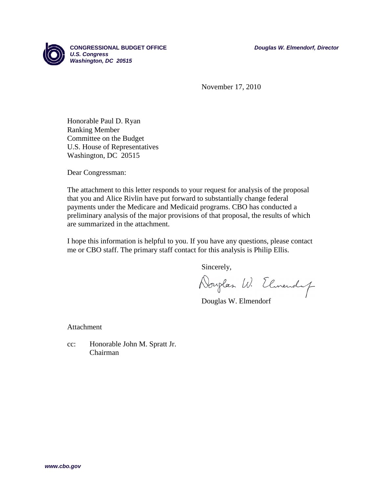

November 17, 2010

Honorable Paul D. Ryan Ranking Member Committee on the Budget U.S. House of Representatives Washington, DC 20515

Dear Congressman:

The attachment to this letter responds to your request for analysis of the proposal that you and Alice Rivlin have put forward to substantially change federal payments under the Medicare and Medicaid programs. CBO has conducted a preliminary analysis of the major provisions of that proposal, the results of which are summarized in the attachment.

I hope this information is helpful to you. If you have any questions, please contact me or CBO staff. The primary staff contact for this analysis is Philip Ellis.

Sincerely,

Douglas W. Elmendy

Douglas W. Elmendorf

Attachment

cc: Honorable John M. Spratt Jr. Chairman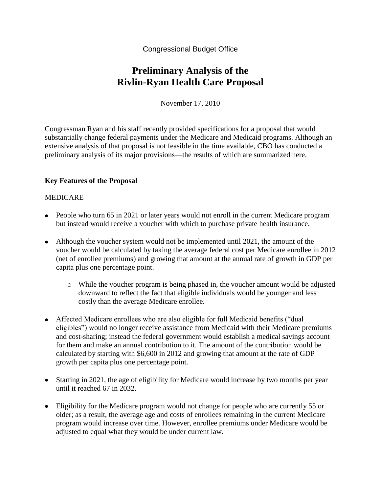Congressional Budget Office

# **Preliminary Analysis of the Rivlin-Ryan Health Care Proposal**

November 17, 2010

Congressman Ryan and his staff recently provided specifications for a proposal that would substantially change federal payments under the Medicare and Medicaid programs. Although an extensive analysis of that proposal is not feasible in the time available, CBO has conducted a preliminary analysis of its major provisions—the results of which are summarized here.

#### **Key Features of the Proposal**

#### MEDICARE

- People who turn 65 in 2021 or later years would not enroll in the current Medicare program but instead would receive a voucher with which to purchase private health insurance.
- Although the voucher system would not be implemented until 2021, the amount of the voucher would be calculated by taking the average federal cost per Medicare enrollee in 2012 (net of enrollee premiums) and growing that amount at the annual rate of growth in GDP per capita plus one percentage point.
	- o While the voucher program is being phased in, the voucher amount would be adjusted downward to reflect the fact that eligible individuals would be younger and less costly than the average Medicare enrollee.
- Affected Medicare enrollees who are also eligible for full Medicaid benefits ("dual eligibles") would no longer receive assistance from Medicaid with their Medicare premiums and cost-sharing; instead the federal government would establish a medical savings account for them and make an annual contribution to it. The amount of the contribution would be calculated by starting with \$6,600 in 2012 and growing that amount at the rate of GDP growth per capita plus one percentage point.
- Starting in 2021, the age of eligibility for Medicare would increase by two months per year until it reached 67 in 2032.
- Eligibility for the Medicare program would not change for people who are currently 55 or older; as a result, the average age and costs of enrollees remaining in the current Medicare program would increase over time. However, enrollee premiums under Medicare would be adjusted to equal what they would be under current law.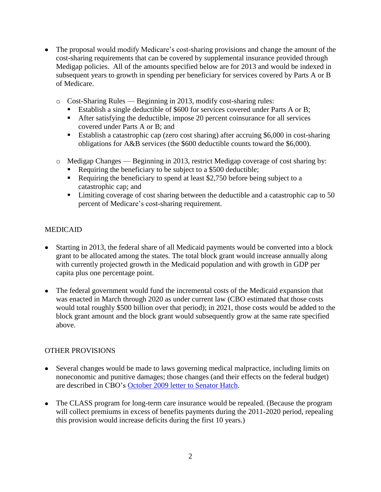- The proposal would modify Medicare's cost-sharing provisions and change the amount of the cost-sharing requirements that can be covered by supplemental insurance provided through Medigap policies. All of the amounts specified below are for 2013 and would be indexed in subsequent years to growth in spending per beneficiary for services covered by Parts A or B of Medicare.
	- o Cost-Sharing Rules Beginning in 2013, modify cost-sharing rules:
		- Establish a single deductible of \$600 for services covered under Parts A or B;
		- After satisfying the deductible, impose 20 percent coinsurance for all services covered under Parts A or B; and
		- Establish a catastrophic cap (zero cost sharing) after accruing \$6,000 in cost-sharing obligations for A&B services (the \$600 deductible counts toward the \$6,000).
	- o Medigap Changes Beginning in 2013, restrict Medigap coverage of cost sharing by:
		- Requiring the beneficiary to be subject to a \$500 deductible;
		- Requiring the beneficiary to spend at least \$2,750 before being subject to a catastrophic cap; and
		- $\blacksquare$  Limiting coverage of cost sharing between the deductible and a catastrophic cap to 50 percent of Medicare's cost-sharing requirement.

### MEDICAID

- Starting in 2013, the federal share of all Medicaid payments would be converted into a block grant to be allocated among the states. The total block grant would increase annually along with currently projected growth in the Medicaid population and with growth in GDP per capita plus one percentage point.
- The federal government would fund the incremental costs of the Medicaid expansion that was enacted in March through 2020 as under current law (CBO estimated that those costs would total roughly \$500 billion over that period); in 2021, those costs would be added to the block grant amount and the block grant would subsequently grow at the same rate specified above.

## OTHER PROVISIONS

- Several changes would be made to laws governing medical malpractice, including limits on noneconomic and punitive damages; those changes (and their effects on the federal budget) are described in CBO's [October 2009 letter to Senator Hatch.](http://www.cbo.gov/ftpdocs/106xx/doc10641/10-09-Tort_Reform.pdf)
- The CLASS program for long-term care insurance would be repealed. (Because the program will collect premiums in excess of benefits payments during the 2011-2020 period, repealing this provision would increase deficits during the first 10 years.)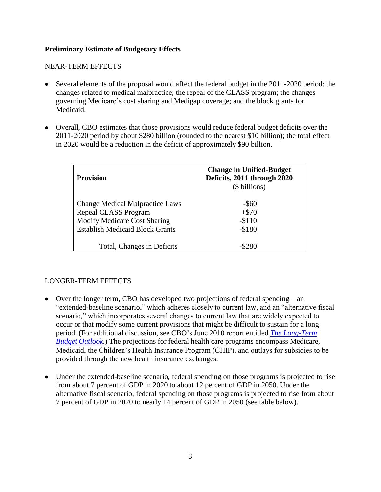#### **Preliminary Estimate of Budgetary Effects**

#### NEAR-TERM EFFECTS

- Several elements of the proposal would affect the federal budget in the 2011-2020 period: the changes related to medical malpractice; the repeal of the CLASS program; the changes governing Medicare's cost sharing and Medigap coverage; and the block grants for Medicaid.
- Overall, CBO estimates that those provisions would reduce federal budget deficits over the 2011-2020 period by about \$280 billion (rounded to the nearest \$10 billion); the total effect in 2020 would be a reduction in the deficit of approximately \$90 billion.

| <b>Provision</b>                                                                                                                                | <b>Change in Unified-Budget</b><br>Deficits, 2011 through 2020<br>(\$ billions) |
|-------------------------------------------------------------------------------------------------------------------------------------------------|---------------------------------------------------------------------------------|
| <b>Change Medical Malpractice Laws</b><br>Repeal CLASS Program<br><b>Modify Medicare Cost Sharing</b><br><b>Establish Medicaid Block Grants</b> | $-$ \$60<br>$+ $70$<br>$-$110$<br>$-$180$                                       |
| Total, Changes in Deficits                                                                                                                      |                                                                                 |

#### LONGER-TERM EFFECTS

- Over the longer term, CBO has developed two projections of federal spending—an "extended-baseline scenario," which adheres closely to current law, and an "alternative fiscal scenario," which incorporates several changes to current law that are widely expected to occur or that modify some current provisions that might be difficult to sustain for a long period. (For additional discussion, see CBO's June 2010 report entitled *[The Long-Term](http://www.cbo.gov/ftpdocs/115xx/doc11579/06-30-LTBO.pdf)  [Budget Outlook](http://www.cbo.gov/ftpdocs/115xx/doc11579/06-30-LTBO.pdf)*.) The projections for federal health care programs encompass Medicare, Medicaid, the Children's Health Insurance Program (CHIP), and outlays for subsidies to be provided through the new health insurance exchanges.
- Under the extended-baseline scenario, federal spending on those programs is projected to rise from about 7 percent of GDP in 2020 to about 12 percent of GDP in 2050. Under the alternative fiscal scenario, federal spending on those programs is projected to rise from about 7 percent of GDP in 2020 to nearly 14 percent of GDP in 2050 (see table below).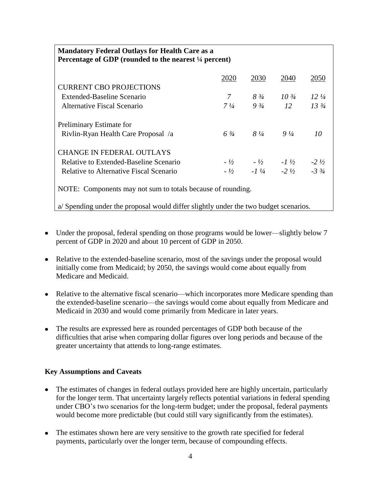## **Mandatory Federal Outlays for Health Care as a Percentage of GDP (rounded to the nearest ¼ percent)**

|                                                             | 2020           | 2030                   | 2040            | 2050            |
|-------------------------------------------------------------|----------------|------------------------|-----------------|-----------------|
| <b>CURRENT CBO PROJECTIONS</b>                              |                |                        |                 |                 |
| Extended-Baseline Scenario                                  | 7              | $8\frac{3}{4}$         | $10\frac{3}{4}$ | $12\frac{1}{4}$ |
| Alternative Fiscal Scenario                                 | $7\frac{1}{4}$ | $9\frac{3}{4}$         | 12              | $13\frac{3}{4}$ |
| Preliminary Estimate for                                    |                |                        |                 |                 |
| Rivlin-Ryan Health Care Proposal /a                         | $6\frac{3}{4}$ | $8\frac{1}{4}$         | $9\frac{1}{4}$  | 10              |
| <b>CHANGE IN FEDERAL OUTLAYS</b>                            |                |                        |                 |                 |
| Relative to Extended-Baseline Scenario                      |                | $-1/2$ $-1/2$ $-1/2$   |                 | $-2.1/2$        |
| Relative to Alternative Fiscal Scenario                     |                | $-1/2$ $-1/4$ $-2/1/2$ |                 | $-3\frac{3}{4}$ |
| NOTE: Components may not sum to totals because of rounding. |                |                        |                 |                 |

a/ Spending under the proposal would differ slightly under the two budget scenarios.

- Under the proposal, federal spending on those programs would be lower—slightly below 7 percent of GDP in 2020 and about 10 percent of GDP in 2050.
- Relative to the extended-baseline scenario, most of the savings under the proposal would initially come from Medicaid; by 2050, the savings would come about equally from Medicare and Medicaid.
- Relative to the alternative fiscal scenario—which incorporates more Medicare spending than the extended-baseline scenario—the savings would come about equally from Medicare and Medicaid in 2030 and would come primarily from Medicare in later years.
- The results are expressed here as rounded percentages of GDP both because of the difficulties that arise when comparing dollar figures over long periods and because of the greater uncertainty that attends to long-range estimates.

#### **Key Assumptions and Caveats**

- The estimates of changes in federal outlays provided here are highly uncertain, particularly for the longer term. That uncertainty largely reflects potential variations in federal spending under CBO's two scenarios for the long-term budget; under the proposal, federal payments would become more predictable (but could still vary significantly from the estimates).
- The estimates shown here are very sensitive to the growth rate specified for federal payments, particularly over the longer term, because of compounding effects.